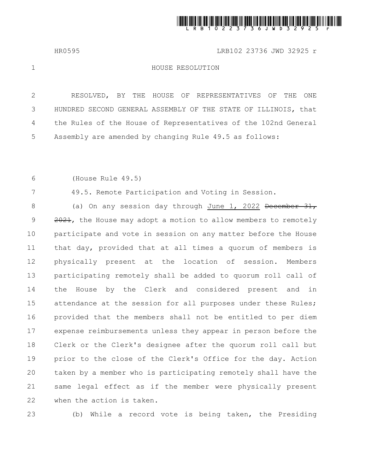

HR0595 LRB102 23736 JWD 32925 r

1

7

## HOUSE RESOLUTION

RESOLVED, BY THE HOUSE OF REPRESENTATIVES OF THE ONE HUNDRED SECOND GENERAL ASSEMBLY OF THE STATE OF ILLINOIS, that the Rules of the House of Representatives of the 102nd General Assembly are amended by changing Rule 49.5 as follows: 2 3 4 5

(House Rule 49.5) 6

49.5. Remote Participation and Voting in Session.

(a) On any session day through June 1, 2022 Becember 31, 2021, the House may adopt a motion to allow members to remotely participate and vote in session on any matter before the House that day, provided that at all times a quorum of members is physically present at the location of session. Members participating remotely shall be added to quorum roll call of the House by the Clerk and considered present and in attendance at the session for all purposes under these Rules; provided that the members shall not be entitled to per diem expense reimbursements unless they appear in person before the Clerk or the Clerk's designee after the quorum roll call but prior to the close of the Clerk's Office for the day. Action taken by a member who is participating remotely shall have the same legal effect as if the member were physically present when the action is taken. 8 9 10 11 12 13 14 15 16 17 18 19 20 21 22

23

(b) While a record vote is being taken, the Presiding